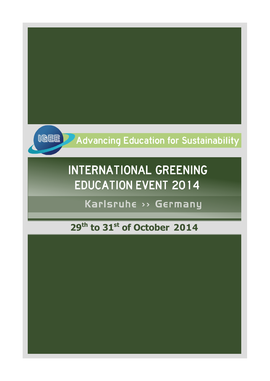

# **INTERNATIONAL GREENING EDUCATION EVENT 2014**

Karlsruhe >> Germany

## 29<sup>th</sup> to 31<sup>st</sup> of October 2014

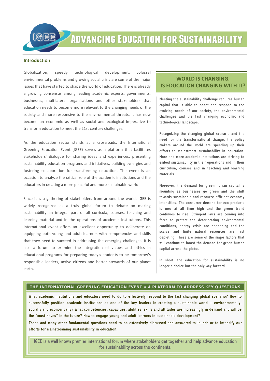

# **EXADVANCING EDUCATION FOR SUSTAINABILITY**

#### **Introduction**

Globalization, speedy technological development, colossal environmental problems and growing social crisis are some of the major issues that have started to shape the world of education. There is already a growing consensus among leading academic experts, governments, businesses, multilateral organisations and other stakeholders that education needs to become more relevant to the changing needs of the society and more responsive to the environmental threats. It has now become an economic as well as social and ecological imperative to transform education to meet the 21st century challenges.

As the education sector stands at a crossroads, the International Greening Education Event (IGEE) serves as a platform that facilitates stakeholders' dialogue for sharing ideas and experiences, presenting sustainability education programs and initiatives, building synergies and fostering collaboration for transforming education. The event is an occasion to analyze the critical role of the academic institutions and the educators in creating a more peaceful and more sustainable world.

Since it is a gathering of stakeholders from around the world, IGEE is widely recognized as a truly global forum to debate on making sustainability an integral part of all curricula, courses, teaching and learning material and in the operations of academic institutions. This international event offers an excellent opportunity to deliberate on equipping both young and adult learners with competencies and skills that they need to succeed in addressing the emerging challenges. It is also a forum to examine the integration of values and ethics in educational programs for preparing today's students to be tomorrow's responsible leaders, active citizens and better stewards of our planet earth.

What academic institutions and educators need to do to effectively respond to the fast changing global scenario? How to successfully position academic institutions as one of the key leaders in creating a sustainable world – environmentally, socially and economically? What competencies, capacities, abilities, skills and attitudes are increasingly in demand and will be the "must-haves" in the future? How to engage young and adult learners in sustainable development?

These and many other fundamental questions need to be extensively discussed and answered to launch or to intensify our efforts for mainstreaming sustainability in education.

### **WORLD IS CHANGING. IS EDUCATION CHANGING WITH IT?**

Meeting the sustainability challenge requires human capital that is able to adapt and respond to the evolving needs of our society, the environmental challenges and the fast changing economic and technological landscape.

Recognizing the changing global scenario and the need for the transformational change, the policy makers around the world are speeding up their efforts to mainstream sustainability in education. More and more academic institutions are striving to embed sustainability in their operations and in their curriculum, courses and in teaching and learning materials.

Moreover, the demand for green human capital is mounting as businesses go green and the shift towards sustainable and resource efficient economy intensifies. The consumer demand for eco products is now at all time high and the green trend continues to rise. Stringent laws are coming into force to protect the deteriorating environmental conditions, energy crisis are deepening and the scarce and finite natural resources are fast depleting. These are some of the major factors that will continue to boost the demand for green human capital across the globe.

In short, the education for sustainability is no longer a choice but the only way forward.

IGEE is a well known premier international forum where stakeholders get together and help advance education for sustainability across the continents.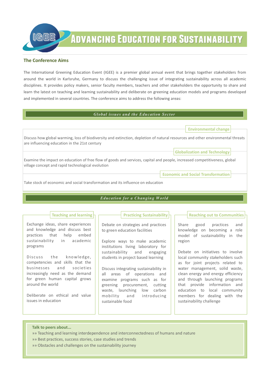

# **EXADVANCING EDUCATION FOR SUSTAINABILITY**

### **The Conference Aims**

The International Greening Education Event (IGEE) is a premier global annual event that brings together stakeholders from around the world in Karlsruhe, Germany to discuss the challenging issue of integrating sustainability across all academic disciplines. It provides policy makers, senior faculty members, teachers and other stakeholders the opportunity to share and learn the latest on teaching and learning sustainability and deliberate on greening education models and programs developed and implemented in several countries. The conference aims to address the following areas:

Discuss the knowledge, competencies and skills that the businesses and societies increasingly need as the demand for green human capital grows around the world

|                                                                                                                                                                                  | <b>Environmental change</b>               |  |
|----------------------------------------------------------------------------------------------------------------------------------------------------------------------------------|-------------------------------------------|--|
| Discuss how global warming, loss of biodiversity and extinction, depletion of natural resources and other environmental threats<br>are influencing education in the 21st century |                                           |  |
|                                                                                                                                                                                  | <b>Globalization and Technology</b>       |  |
| Examine the impact on education of free flow of goods and services, capital and people, increased competitiveness, global<br>village concept and rapid technological evolution   |                                           |  |
|                                                                                                                                                                                  | <b>Economic and Social Transformation</b> |  |
| Take stock of economic and social transformation and its influence on education                                                                                                  |                                           |  |
|                                                                                                                                                                                  |                                           |  |

| <b>Global issues and the Education Sector</b> |  |
|-----------------------------------------------|--|
|-----------------------------------------------|--|

### **Education for a Changing World**

**Teaching and learning Practicing Sustainability Reaching out to Communities** 

Exchange ideas, share experiences and knowledge and discuss best practices that help embed sustainability in academic programs

Deliberate on ethical and value issues in education

Debate on strategies and practices to green education facilities

Explore ways to make academic institutions living laboratory for sustainability and engaging students in project based learning

Discuss integrating sustainability in all areas of operations and examine programs such as for greening procurement, cutting waste, launching low carbon mobility and introducing sustainable food

Share good practices and knowledge on becoming a role model of sustainability in the region

Debate on initiatives to involve local community stakeholders such as for joint projects related to water management, solid waste, clean energy and energy efficiency and through launching programs that provide information and

education to local community members for dealing with the sustainability challenge

#### **Talk to peers about...**

»» Teaching and learning interdependence and interconnectedness of humans and nature »» Best practices, success stories, case studies and trends »» Obstacles and challenges on the sustainability journey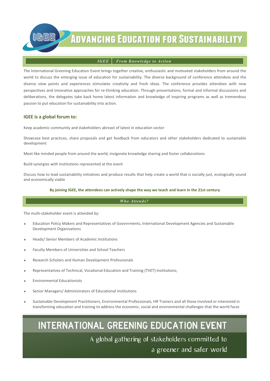

# **ADVANCING EDUCATION FOR SUSTAINABILITY**

The International Greening Education Event brings together creative, enthusiastic and motivated stakeholders from around the world to discuss the emerging issue of education for sustainability. The diverse background of conference attendees and the diverse view points and experiences stimulates creativity and fresh ideas. The conference provides attendees with new perspectives and innovative approaches for re-thinking education. Through presentations, formal and informal discussions and deliberations, the delegates take back home latest information and knowledge of inspiring programs as well as tremendous passion to put education for sustainability into action.

### **IGEE is a global forum to:**

Keep academic community and stakeholders abreast of latest in education sector

Showcase best practices, share proposals and get feedback from educators and other stakeholders dedicated to sustainable development

Meet like minded people from around the world, invigorate knowledge sharing and foster collaborations

Build synergies with institutions represented at the event

Discuss how to lead sustainability initiatives and produce results that help create a world that is socially just, ecologically sound and economically viable

#### **By joining IGEE, the attendees can actively shape the way we teach and learn in the 21st century**

### **IGEE │ From Knowledge to Action**

- �� Education Policy Makers and Representatives of Governments, International Development Agencies and Sustainable Development Organisations
- �� Heads/ Senior Members of Academic Institutions
- �� Faculty Members of Universities and School Teachers
- �� Research Scholars and Human Development Professionals
- Representatives of Technical, Vocational Education and Training (TVET) Institutions;
- �� Environmental Educationists
- �� Senior Managers/ Administrators of Educational Institutions
- �� Sustainable Development Practitioners, Environmental Professionals, HR Trainers and all those involved or interested in transforming education and training to address the economic, social and environmental challenges that the world faces

### **INTERNATIONAL GREENING EDUCATION EVENT**

A global gathering of stakeholders committed to a greener and safer world

#### **Who Attends?**

The multi-stakeholder event is attended by: